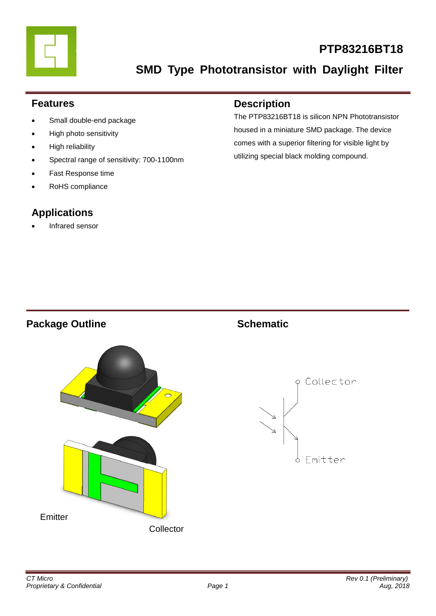

# **PTP83216BT18**

**SMD Type Phototransistor with Daylight Filter**

### **Features**

- Small double-end package
- High photo sensitivity
- High reliability
- Spectral range of sensitivity: 700-1100nm
- Fast Response time
- RoHS compliance

### **Applications**

Infrared sensor

### **Description**

The PTP83216BT18 is silicon NPN Phototransistor housed in a miniature SMD package. The device comes with a superior filtering for visible light by utilizing special black molding compound.

### **Package Outline Schematic**



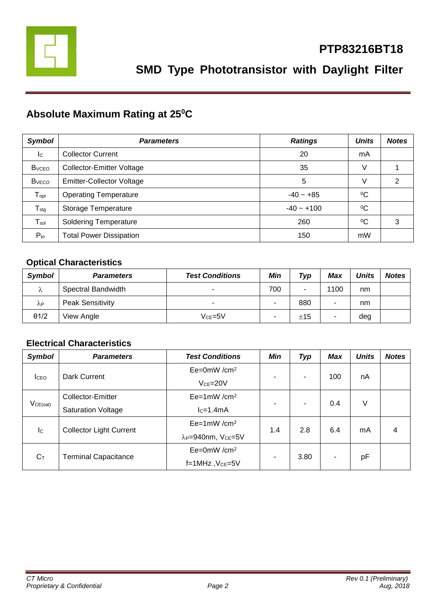

## **Absolute Maximum Rating at 25<sup>0</sup>C**

| <b>Symbol</b>                | <b>Parameters</b>                | <b>Ratings</b> | <b>Units</b> | <b>Notes</b> |
|------------------------------|----------------------------------|----------------|--------------|--------------|
| Ic                           | <b>Collector Current</b>         | 20             | mA           |              |
| <b>B</b> <sub>vCEO</sub>     | <b>Collector-Emitter Voltage</b> | 35             | V            |              |
| <b>B</b> <sub>vECO</sub>     | <b>Emitter-Collector Voltage</b> | 5              | V            | 2            |
| ${\mathsf T}_{\mathsf{opr}}$ | <b>Operating Temperature</b>     | $-40 - +85$    | $^{0}C$      |              |
| $T_{\text{stg}}$             | Storage Temperature              | $-40 - +100$   | $^{0}C$      |              |
| $\mathsf{T}_{\mathsf{sol}}$  | <b>Soldering Temperature</b>     | 260            | $\rm ^{0}C$  | 3            |
| $P_{to}$                     | <b>Total Power Dissipation</b>   | 150            | mW           |              |

### **Optical Characteristics**

| <b>Symbol</b> | <b>Parameters</b>       | <b>Test Conditions</b> | Min | Typ | Max  | <b>Units</b> | <b>Notes</b> |
|---------------|-------------------------|------------------------|-----|-----|------|--------------|--------------|
| Λ             | Spectral Bandwidth      | -                      | 700 | -   | 1100 | nm           |              |
| λP            | <b>Peak Sensitivity</b> | -                      | -   | 880 |      | nm           |              |
| $\theta$ 1/2  | View Angle              | $Vce = 5V$             | ۰   | ±15 | ۰    | deg          |              |

### **Electrical Characteristics**

| <b>Symbol</b>             | <b>Parameters</b>                  | <b>Test Conditions</b>                     | <b>Min</b> | <b>Typ</b> | <b>Max</b> | <b>Units</b> | <b>Notes</b> |
|---------------------------|------------------------------------|--------------------------------------------|------------|------------|------------|--------------|--------------|
| <b>I</b> CEO              | Dark Current                       | $Ee=0mW/cm^2$                              | ۰          | ۰          | 100        | nA           |              |
|                           |                                    | $VCE = 20V$                                |            |            |            |              |              |
|                           | $Ee=1mW/cm^2$<br>Collector-Emitter |                                            |            |            |            |              |              |
| VCE(sat)                  | <b>Saturation Voltage</b>          | $lc=1.4mA$                                 | ٠          | -          | 0.4        | V            |              |
| $\mathsf{I}_{\mathsf{C}}$ | <b>Collector Light Current</b>     | $Ee=1mW/cm^2$                              | 1.4        | 2.8        | 6.4        | mA           | 4            |
|                           |                                    | λ <sub>P</sub> =940nm, V <sub>CE</sub> =5V |            |            |            |              |              |
| $C_T$                     | <b>Terminal Capacitance</b>        | $Ee=0mW/cm^2$                              | ۰          | 3.80       |            |              |              |
|                           |                                    | $f=1$ MHz, $Vce=5V$                        |            |            |            | pF           |              |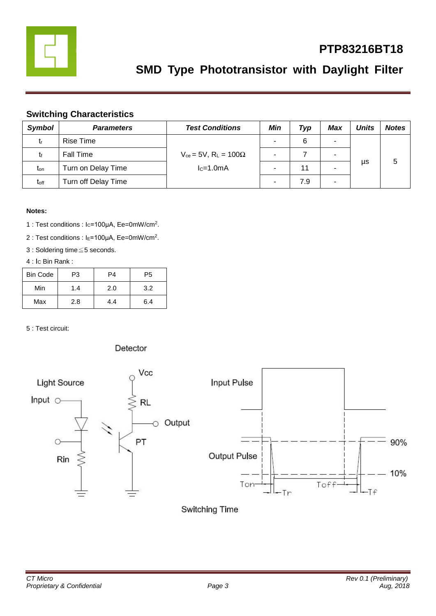

# **PTP83216BT18**

# **SMD Type Phototransistor with Daylight Filter**

### **Switching Characteristics**

| <b>Symbol</b>    | <b>Parameters</b>   | <b>Test Conditions</b>                       | Min                      | Typ | Max                      | Units | <b>Notes</b> |
|------------------|---------------------|----------------------------------------------|--------------------------|-----|--------------------------|-------|--------------|
| tr               | Rise Time           |                                              |                          | 6   | ۰                        |       |              |
|                  | Fall Time           | $V_{ce}$ = 5V, R <sub>L</sub> = 100 $\Omega$ | $\overline{\phantom{0}}$ |     | $\overline{\phantom{a}}$ |       |              |
| $t_{on}$         | Turn on Delay Time  | $lc=1.0mA$                                   |                          | 11  | -                        | μs    |              |
| t <sub>off</sub> | Turn off Delay Time |                                              | -                        | 7.9 | ۰                        |       |              |

#### **Notes:**

- 1 : Test conditions : Ic=100μA, Ee=0mW/cm<sup>2</sup>.
- 2 : Test conditions : I<sub>E</sub>=100μA, Ee=0mW/cm<sup>2</sup>.
- 3 : Soldering time≦5 seconds.

#### 4 : Ic Bin Rank :

| <b>Bin Code</b> | P3  | P4  | P5  |
|-----------------|-----|-----|-----|
| Min             | 1.4 | 2.0 | 3.2 |
| Max             | 2.8 | 4.4 | 6.4 |

5 : Test circuit:

#### Detector



Switching Time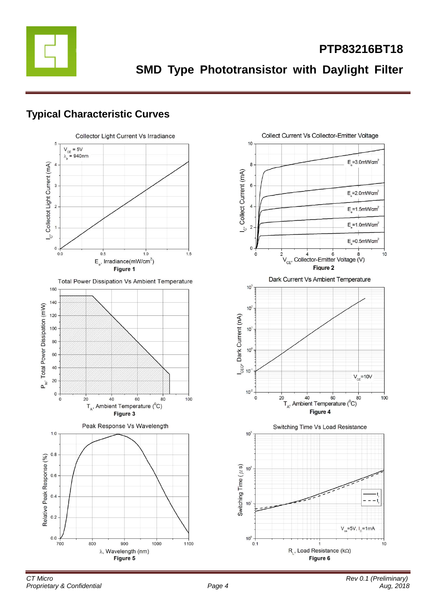

**SMD Type Phototransistor with Daylight Filter**

### **Typical Characteristic Curves**

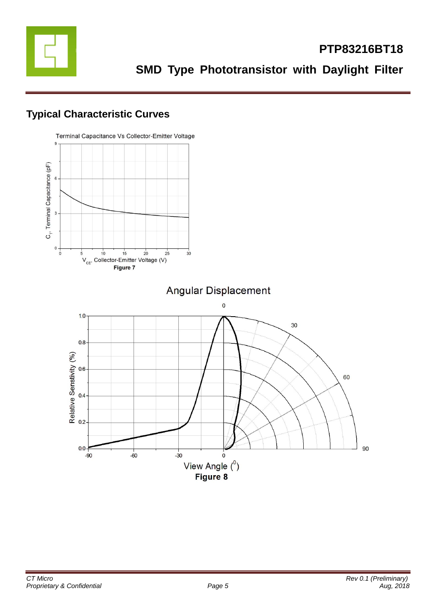

### **Typical Characteristic Curves**

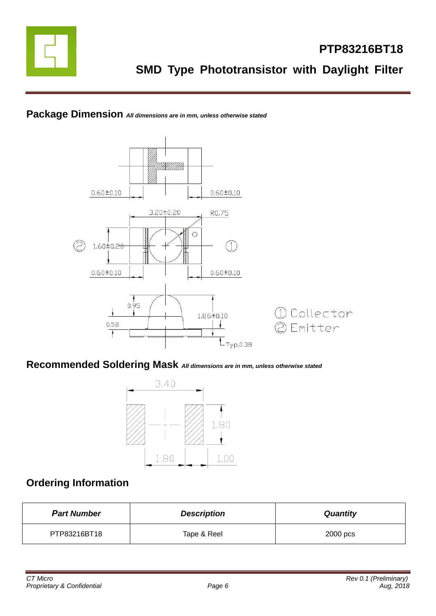

### **Package Dimension** *All dimensions are in mm, unless otherwise stated*



### **Recommended Soldering Mask** *All dimensions are in mm, unless otherwise stated*



### **Ordering Information**

| <b>Part Number</b> | <b>Description</b> | <b>Quantity</b> |
|--------------------|--------------------|-----------------|
| PTP83216BT18       | Tape & Reel        | 2000 pcs        |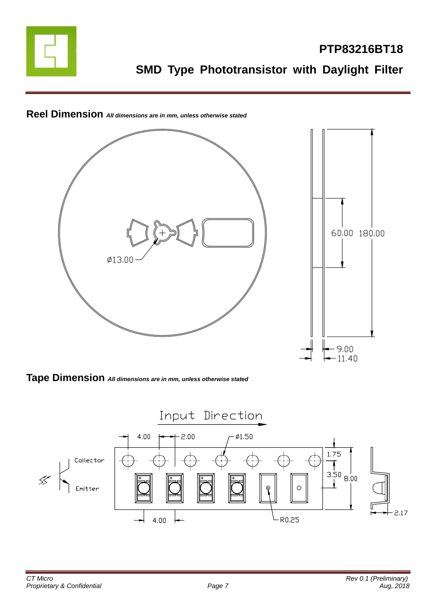



## **Reel Dimension** *All dimensions are in mm, unless otherwise stated*

**Tape Dimension** *All dimensions are in mm, unless otherwise stated*

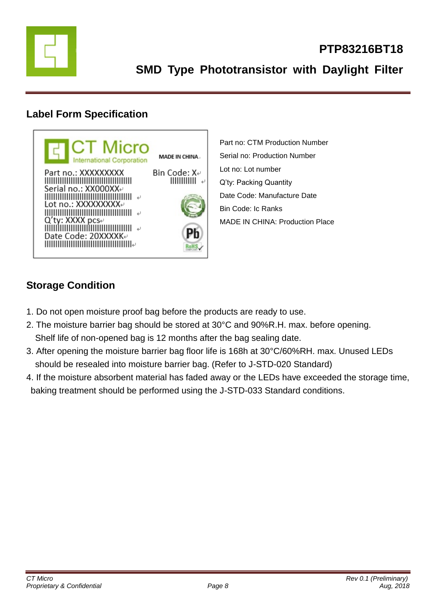

### **Label Form Specification**



Part no: CTM Production Number Serial no: Production Number Lot no: Lot number Q'ty: Packing Quantity Date Code: Manufacture Date Bin Code: Ic Ranks MADE IN CHINA: Production Place

### **Storage Condition**

- 1. Do not open moisture proof bag before the products are ready to use.
- 2. The moisture barrier bag should be stored at 30°C and 90%R.H. max. before opening. Shelf life of non-opened bag is 12 months after the bag sealing date.
- 3. After opening the moisture barrier bag floor life is 168h at 30°C/60%RH. max. Unused LEDs should be resealed into moisture barrier bag. (Refer to J-STD-020 Standard)
- 4. If the moisture absorbent material has faded away or the LEDs have exceeded the storage time, baking treatment should be performed using the J-STD-033 Standard conditions.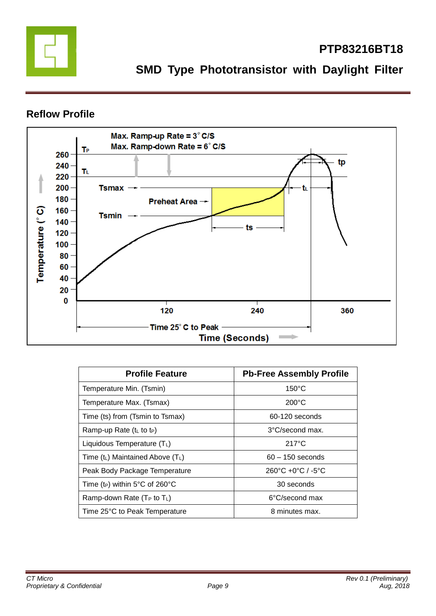

**PTP83216BT18**

### **Reflow Profile**



| <b>Profile Feature</b>                     | <b>Pb-Free Assembly Profile</b>                   |  |  |
|--------------------------------------------|---------------------------------------------------|--|--|
| Temperature Min. (Tsmin)                   | $150^{\circ}$ C                                   |  |  |
| Temperature Max. (Tsmax)                   | $200^{\circ}$ C                                   |  |  |
| Time (ts) from (Tsmin to Tsmax)            | 60-120 seconds                                    |  |  |
| Ramp-up Rate $(tL$ to t <sub>P</sub> )     | 3°C/second max.                                   |  |  |
| Liquidous Temperature $(T_L)$              | $217^{\circ}$ C                                   |  |  |
| Time $(t_L)$ Maintained Above $(T_L)$      | $60 - 150$ seconds                                |  |  |
| Peak Body Package Temperature              | $260^{\circ}$ C +0 $^{\circ}$ C / -5 $^{\circ}$ C |  |  |
| Time (t <sub>P</sub> ) within 5°C of 260°C | 30 seconds                                        |  |  |
| Ramp-down Rate $(T_P$ to $T_L$ )           | 6°C/second max                                    |  |  |
| Time 25°C to Peak Temperature              | 8 minutes max.                                    |  |  |